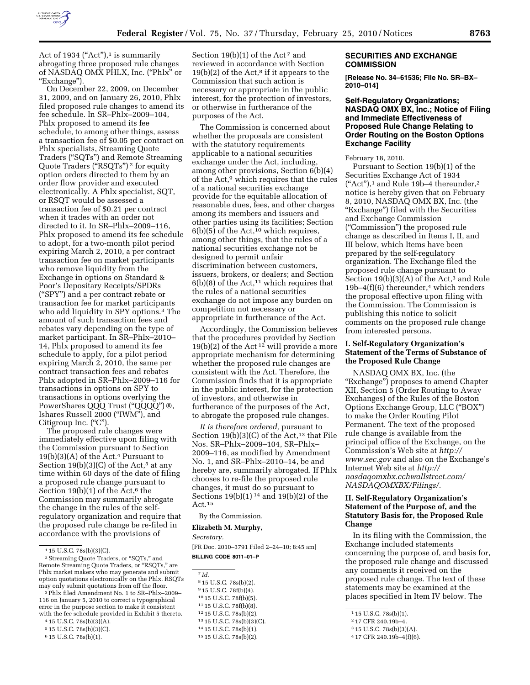

Act of 1934 ("Act"), $\frac{1}{1}$  is summarily abrogating three proposed rule changes of NASDAQ OMX PHLX, Inc. (''Phlx'' or ''Exchange'').

On December 22, 2009, on December 31, 2009, and on January 26, 2010, Phlx filed proposed rule changes to amend its fee schedule. In SR–Phlx–2009–104, Phlx proposed to amend its fee schedule, to among other things, assess a transaction fee of \$0.05 per contract on Phlx specialists, Streaming Quote Traders (''SQTs'') and Remote Streaming Quote Traders ("RSQTs")<sup>2</sup> for equity option orders directed to them by an order flow provider and executed electronically. A Phlx specialist, SQT, or RSQT would be assessed a transaction fee of \$0.21 per contract when it trades with an order not directed to it. In SR–Phlx–2009–116, Phlx proposed to amend its fee schedule to adopt, for a two-month pilot period expiring March 2, 2010, a per contract transaction fee on market participants who remove liquidity from the Exchange in options on Standard & Poor's Depositary Receipts/SPDRs (''SPY'') and a per contract rebate or transaction fee for market participants who add liquidity in SPY options.<sup>3</sup> The amount of such transaction fees and rebates vary depending on the type of market participant. In SR–Phlx–2010– 14, Phlx proposed to amend its fee schedule to apply, for a pilot period expiring March 2, 2010, the same per contract transaction fees and rebates Phlx adopted in SR–Phlx–2009–116 for transactions in options on SPY to transactions in options overlying the PowerShares QQQ Trust (''QQQQ'') ®, Ishares Russell 2000 (''IWM''), and Citigroup Inc. ("C").

The proposed rule changes were immediately effective upon filing with the Commission pursuant to Section  $19(b)(3)(A)$  of the Act.<sup>4</sup> Pursuant to Section  $19(b)(3)(C)$  of the Act,<sup>5</sup> at any time within 60 days of the date of filing a proposed rule change pursuant to Section  $19(b)(1)$  of the Act,<sup>6</sup> the Commission may summarily abrogate the change in the rules of the selfregulatory organization and require that the proposed rule change be re-filed in accordance with the provisions of

3Phlx filed Amendment No. 1 to SR–Phlx–2009– 116 on January 5, 2010 to correct a typographical error in the purpose section to make it consistent with the fee schedule provided in Exhibit 5 thereto.

4 15 U.S.C. 78s(b)(3)(A).

- 5 15 U.S.C. 78s(b)(3)(C).
- 6 15 U.S.C. 78s(b)(1).

Section 19(b)(1) of the Act<sup>7</sup> and reviewed in accordance with Section  $19(b)(2)$  of the Act,<sup>8</sup> if it appears to the Commission that such action is necessary or appropriate in the public interest, for the protection of investors, or otherwise in furtherance of the purposes of the Act.

The Commission is concerned about whether the proposals are consistent with the statutory requirements applicable to a national securities exchange under the Act, including, among other provisions, Section 6(b)(4) of the Act,9 which requires that the rules of a national securities exchange provide for the equitable allocation of reasonable dues, fees, and other charges among its members and issuers and other parties using its facilities; Section  $6(b)(5)$  of the Act,<sup>10</sup> which requires, among other things, that the rules of a national securities exchange not be designed to permit unfair discrimination between customers, issuers, brokers, or dealers; and Section  $6(b)(8)$  of the Act,<sup>11</sup> which requires that the rules of a national securities exchange do not impose any burden on competition not necessary or appropriate in furtherance of the Act.

Accordingly, the Commission believes that the procedures provided by Section  $19(b)(2)$  of the Act<sup>12</sup> will provide a more appropriate mechanism for determining whether the proposed rule changes are consistent with the Act. Therefore, the Commission finds that it is appropriate in the public interest, for the protection of investors, and otherwise in furtherance of the purposes of the Act, to abrogate the proposed rule changes.

*It is therefore ordered,* pursuant to Section  $19(b)(3)(C)$  of the Act,<sup>13</sup> that File Nos. SR–Phlx–2009–104, SR–Phlx– 2009–116, as modified by Amendment No. 1, and SR–Phlx–2010–14, be and hereby are, summarily abrogated. If Phlx chooses to re-file the proposed rule changes, it must do so pursuant to Sections  $19(b)(1)^{14}$  and  $19(b)(2)$  of the Act.15

By the Commission.

# **Elizabeth M. Murphy,**

#### *Secretary.*

[FR Doc. 2010–3791 Filed 2–24–10; 8:45 am] **BILLING CODE 8011–01–P** 

7 *Id.* 

 15 U.S.C. 78s(b)(2). 15 U.S.C. 78f(b)(4). 15 U.S.C. 78f(b)(5). 15 U.S.C. 78f(b)(8).

12 15 U.S.C. 78s(b)(2).

13 15 U.S.C. 78s(b)(3)(C).

14 15 U.S.C. 78s(b)(1).

## **SECURITIES AND EXCHANGE COMMISSION**

**[Release No. 34–61536; File No. SR–BX– 2010–014]** 

# **Self-Regulatory Organizations; NASDAQ OMX BX, Inc.; Notice of Filing and Immediate Effectiveness of Proposed Rule Change Relating to Order Routing on the Boston Options Exchange Facility**

#### February 18, 2010.

Pursuant to Section 19(b)(1) of the Securities Exchange Act of 1934  $("Act")$ ,<sup>1</sup> and Rule 19b–4 thereunder,<sup>2</sup> notice is hereby given that on February 8, 2010, NASDAQ OMX BX, Inc. (the ''Exchange'') filed with the Securities and Exchange Commission (''Commission'') the proposed rule change as described in Items I, II, and III below, which Items have been prepared by the self-regulatory organization. The Exchange filed the proposed rule change pursuant to Section  $19(b)(3)(A)$  of the Act,<sup>3</sup> and Rule  $19b-4(f)(6)$  thereunder,<sup>4</sup> which renders the proposal effective upon filing with the Commission. The Commission is publishing this notice to solicit comments on the proposed rule change from interested persons.

## **I. Self-Regulatory Organization's Statement of the Terms of Substance of the Proposed Rule Change**

NASDAQ OMX BX, Inc. (the ''Exchange'') proposes to amend Chapter XII, Section 5 (Order Routing to Away Exchanges) of the Rules of the Boston Options Exchange Group, LLC (''BOX'') to make the Order Routing Pilot Permanent. The text of the proposed rule change is available from the principal office of the Exchange, on the Commission's Web site at *http:// www.sec.gov* and also on the Exchange's Internet Web site at *http:// nasdaqomxbx.cchwallstreet.com/ NASDAQOMXBX/Filings/*.

# **II. Self-Regulatory Organization's Statement of the Purpose of, and the Statutory Basis for, the Proposed Rule Change**

In its filing with the Commission, the Exchange included statements concerning the purpose of, and basis for, the proposed rule change and discussed any comments it received on the proposed rule change. The text of these statements may be examined at the places specified in Item IV below. The

 $1$  15 U.S.C. 78s(b)(3)(C).

<sup>&</sup>lt;sup>2</sup> Streaming Quote Traders, or "SQTs," and Remote Streaming Quote Traders, or "RSQTs," are Phlx market makers who may generate and submit option quotations electronically on the Phlx. RSQTs may only submit quotations from off the floor.

<sup>15</sup> 15 U.S.C. 78s(b)(2).

 $1\,15$  U.S.C. 78s(b)(1).

<sup>2</sup> 17 CFR 240.19b–4.

<sup>3</sup> 15 U.S.C. 78s(b)(3)(A).

<sup>4</sup> 17 CFR 240.19b–4(f)(6).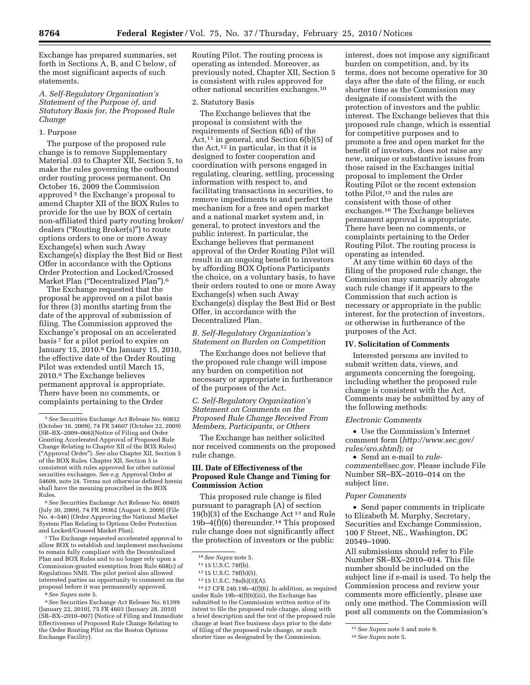Exchange has prepared summaries, set forth in Sections A, B, and C below, of the most significant aspects of such statements.

# *A. Self-Regulatory Organization's Statement of the Purpose of, and Statutory Basis for, the Proposed Rule Change*

## 1. Purpose

The purpose of the proposed rule change is to remove Supplementary Material .03 to Chapter XII, Section 5, to make the rules governing the outbound order routing process permanent. On October 16, 2009 the Commission approved 5 the Exchange's proposal to amend Chapter XII of the BOX Rules to provide for the use by BOX of certain non-affiliated third party routing broker/ dealers (''Routing Broker(s)'') to route options orders to one or more Away Exchange(s) when such Away Exchange(s) display the Best Bid or Best Offer in accordance with the Options Order Protection and Locked/Crossed Market Plan (''Decentralized Plan'').6

The Exchange requested that the proposal be approved on a pilot basis for three (3) months starting from the date of the approval of submission of filing. The Commission approved the Exchange's proposal on an accelerated basis 7 for a pilot period to expire on January 15, 2010.8 On January 15, 2010, the effective date of the Order Routing Pilot was extended until March 15, 2010.9 The Exchange believes permanent approval is appropriate. There have been no comments, or complaints pertaining to the Order

6*See* Securities Exchange Act Release No. 60405 (July 30, 2009), 74 FR 39362 (August 6, 2009) (File No. 4–546) (Order Approving the National Market System Plan Relating to Options Order Protection and Locked/Crossed Market Plan).

7The Exchange requested accelerated approval to allow BOX to establish and implement mechanisms to remain fully compliant with the Decentralized Plan and BOX Rules and to no longer rely upon a Commission-granted exemption from Rule 608(c) of Regulations NMS. The pilot period also allowed interested parties an opportunity to comment on the proposal before it was permanently approved.

8*See Supra* note 5.

9*See* Securities Exchange Act Release No. 61399 (January 22, 2010), 75 FR 4603 (January 28, 2010) (SR–BX–2010–007) (Notice of Filing and Immediate Effectiveness of Proposed Rule Change Relating to the Order Routing Pilot on the Boston Options Exchange Facility).

Routing Pilot. The routing process is operating as intended. Moreover, as previously noted, Chapter XII, Section 5 is consistent with rules approved for other national securities exchanges.10

## 2. Statutory Basis

The Exchange believes that the proposal is consistent with the requirements of Section 6(b) of the Act,<sup>11</sup> in general, and Section  $6(b)(5)$  of the Act, $12$  in particular, in that it is designed to foster cooperation and coordination with persons engaged in regulating, clearing, settling, processing information with respect to, and facilitating transactions in securities, to remove impediments to and perfect the mechanism for a free and open market and a national market system and, in general, to protect investors and the public interest. In particular, the Exchange believes that permanent approval of the Order Routing Pilot will result in an ongoing benefit to investors by affording BOX Options Participants the choice, on a voluntary basis, to have their orders routed to one or more Away Exchange(s) when such Away Exchange(s) display the Best Bid or Best Offer, in accordance with the Decentralized Plan.

# *B. Self-Regulatory Organization's Statement on Burden on Competition*

The Exchange does not believe that the proposed rule change will impose any burden on competition not necessary or appropriate in furtherance of the purposes of the Act.

*C. Self-Regulatory Organization's Statement on Comments on the Proposed Rule Change Received From Members, Participants, or Others* 

The Exchange has neither solicited nor received comments on the proposed rule change.

## **III. Date of Effectiveness of the Proposed Rule Change and Timing for Commission Action**

This proposed rule change is filed pursuant to paragraph (A) of section 19(b)(3) of the Exchange Act 13 and Rule  $19b-4(f)(6)$  thereunder.<sup>14</sup> This proposed rule change does not significantly affect the protection of investors or the public

14 17 CFR 240.19b–4(f)(6). In addition, as required under Rule 19b–4(f)(6)(iii), the Exchange has submitted to the Commission written notice of its intent to file the proposed rule change, along with a brief description and the text of the proposed rule change at least five business days prior to the date of filing of the proposed rule change, or such shorter time as designated by the Commission.

interest, does not impose any significant burden on competition, and, by its terms, does not become operative for 30 days after the date of the filing, or such shorter time as the Commission may designate if consistent with the protection of investors and the public interest. The Exchange believes that this proposed rule change, which is essential for competitive purposes and to promote a free and open market for the benefit of investors, does not raise any new, unique or substantive issues from those raised in the Exchanges initial proposal to implement the Order Routing Pilot or the recent extension tothe Pilot,15 and the rules are consistent with those of other exchanges.16 The Exchange believes permanent approval is appropriate. There have been no comments, or complaints pertaining to the Order Routing Pilot. The routing process is operating as intended.

At any time within 60 days of the filing of the proposed rule change, the Commission may summarily abrogate such rule change if it appears to the Commission that such action is necessary or appropriate in the public interest, for the protection of investors, or otherwise in furtherance of the purposes of the Act.

## **IV. Solicitation of Comments**

Interested persons are invited to submit written data, views, and arguments concerning the foregoing, including whether the proposed rule change is consistent with the Act. Comments may be submitted by any of the following methods:

#### *Electronic Comments*

• Use the Commission's Internet comment form (*http://www.sec.gov/ rules/sro.shtml*); or

• Send an e-mail to *rulecomments@sec.gov*. Please include File Number SR–BX–2010–014 on the subject line.

## *Paper Comments*

• Send paper comments in triplicate to Elizabeth M. Murphy, Secretary, Securities and Exchange Commission, 100 F Street, NE., Washington, DC 20549–1090.

All submissions should refer to File Number SR–BX–2010–014. This file number should be included on the subject line if e-mail is used. To help the Commission process and review your comments more efficiently, please use only one method. The Commission will post all comments on the Commission's

<sup>5</sup>*See* Securities Exchange Act Release No. 60832 (October 16, 2009), 74 FR 54607 (October 22, 2009) (SR–BX–2009–066)(Notice of Filing and Order Granting Accelerated Approval of Proposed Rule Change Relating to Chapter XII of the BOX Rules) (''Approval Order''). *See also* Chapter XII, Section 5 of the BOX Rules. Chapter XII, Section 5 is consistent with rules approved for other national securities exchanges. *See e.g.* Approval Order at 54609, note 24. Terms not otherwise defined herein shall have the meaning proscribed in the BOX Rules.

<sup>10</sup>*See Supra* note 5.

<sup>11</sup> 15 U.S.C. 78f(b).

<sup>12</sup> 15 U.S.C. 78f(b)(5).

<sup>13</sup> 15 U.S.C. 78s(b)(3)(A).

<sup>15</sup>*See Supra* note 5 and note 9.

<sup>16</sup>*See Supra* note 5.